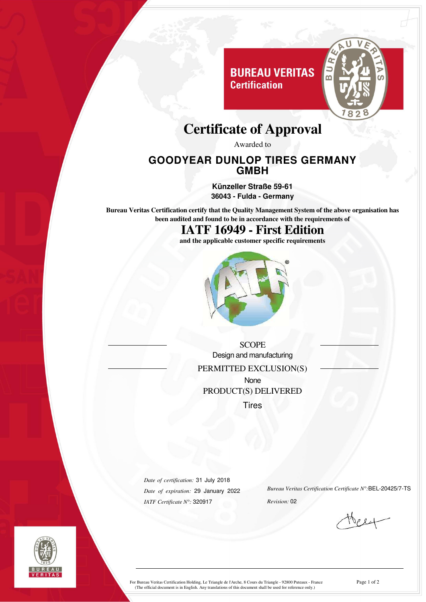

# **Certificate of Approval**

**Certification** 

Awarded to

#### **GOODYEAR DUNLOP TIRES GERMANY GMBH**

**Künzeller Straße 59-61 36043 - Fulda - Germany**

**Bureau Veritas Certification certify that the Quality Management System of the above organisation has been audited and found to be in accordance with the requirements of**

# **IATF 16949 - First Edition**

**and the applicable customer specific requirements**



**SCOPE** Design and manufacturing PERMITTED EXCLUSION(S) None PRODUCT(S) DELIVERED **Tires** 

*Date of certification:* 31 July 2018 *Date of expiration:* 29 January 2022 *IATF Certificate N°:* 320917

*Bureau Veritas Certification Certificate N°:*BEL-20425/7-TS *Revision:* 02



For Bureau Veritas Certification Holding, Le Triangle de l'Arche, 8 Cours du Triangle - 92800 Puteaux - France Page 1 of 2 (The official document is in English. Any translations of this document shall be used for reference only.)